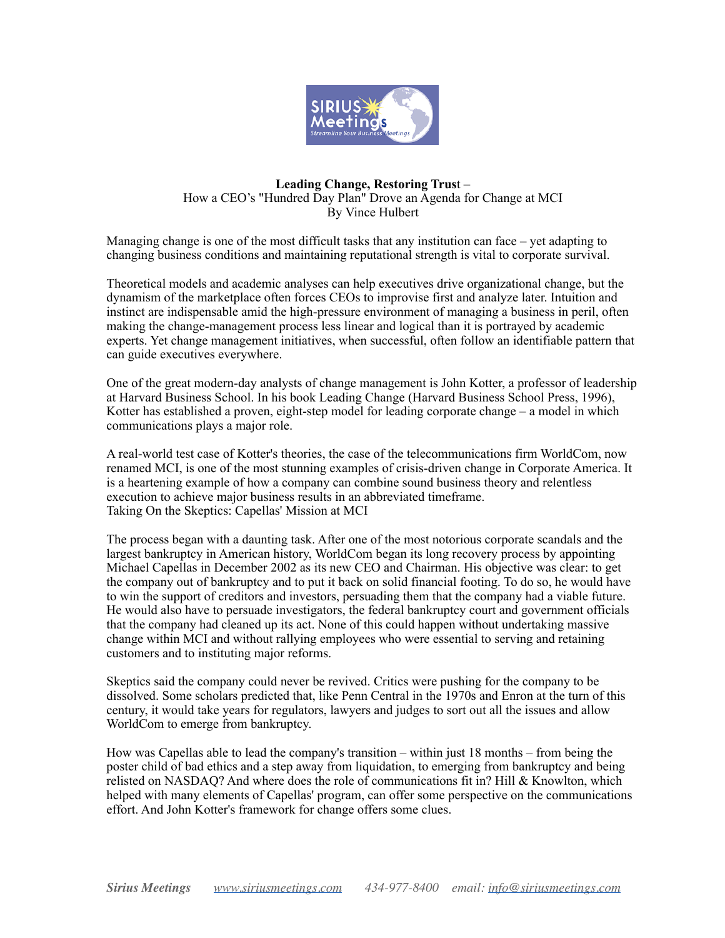

## **Leading Change, Restoring Trus**t – How a CEO's "Hundred Day Plan" Drove an Agenda for Change at MCI By Vince Hulbert

Managing change is one of the most difficult tasks that any institution can face – yet adapting to changing business conditions and maintaining reputational strength is vital to corporate survival.

Theoretical models and academic analyses can help executives drive organizational change, but the dynamism of the marketplace often forces CEOs to improvise first and analyze later. Intuition and instinct are indispensable amid the high-pressure environment of managing a business in peril, often making the change-management process less linear and logical than it is portrayed by academic experts. Yet change management initiatives, when successful, often follow an identifiable pattern that can guide executives everywhere.

One of the great modern-day analysts of change management is John Kotter, a professor of leadership at Harvard Business School. In his book Leading Change (Harvard Business School Press, 1996), Kotter has established a proven, eight-step model for leading corporate change – a model in which communications plays a major role.

A real-world test case of Kotter's theories, the case of the telecommunications firm WorldCom, now renamed MCI, is one of the most stunning examples of crisis-driven change in Corporate America. It is a heartening example of how a company can combine sound business theory and relentless execution to achieve major business results in an abbreviated timeframe. Taking On the Skeptics: Capellas' Mission at MCI

The process began with a daunting task. After one of the most notorious corporate scandals and the largest bankruptcy in American history, WorldCom began its long recovery process by appointing Michael Capellas in December 2002 as its new CEO and Chairman. His objective was clear: to get the company out of bankruptcy and to put it back on solid financial footing. To do so, he would have to win the support of creditors and investors, persuading them that the company had a viable future. He would also have to persuade investigators, the federal bankruptcy court and government officials that the company had cleaned up its act. None of this could happen without undertaking massive change within MCI and without rallying employees who were essential to serving and retaining customers and to instituting major reforms.

Skeptics said the company could never be revived. Critics were pushing for the company to be dissolved. Some scholars predicted that, like Penn Central in the 1970s and Enron at the turn of this century, it would take years for regulators, lawyers and judges to sort out all the issues and allow WorldCom to emerge from bankruptcy.

How was Capellas able to lead the company's transition – within just 18 months – from being the poster child of bad ethics and a step away from liquidation, to emerging from bankruptcy and being relisted on NASDAQ? And where does the role of communications fit in? Hill & Knowlton, which helped with many elements of Capellas' program, can offer some perspective on the communications effort. And John Kotter's framework for change offers some clues.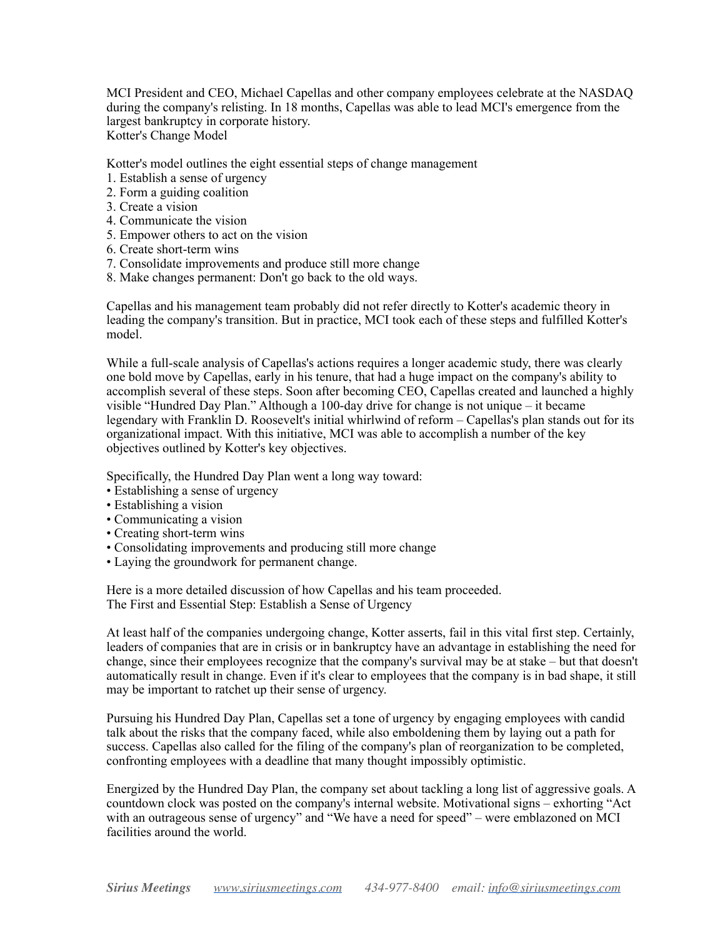MCI President and CEO, Michael Capellas and other company employees celebrate at the NASDAQ during the company's relisting. In 18 months, Capellas was able to lead MCI's emergence from the largest bankruptcy in corporate history. Kotter's Change Model

Kotter's model outlines the eight essential steps of change management

- 1. Establish a sense of urgency
- 2. Form a guiding coalition
- 3. Create a vision
- 4. Communicate the vision
- 5. Empower others to act on the vision
- 6. Create short-term wins
- 7. Consolidate improvements and produce still more change
- 8. Make changes permanent: Don't go back to the old ways.

Capellas and his management team probably did not refer directly to Kotter's academic theory in leading the company's transition. But in practice, MCI took each of these steps and fulfilled Kotter's model.

While a full-scale analysis of Capellas's actions requires a longer academic study, there was clearly one bold move by Capellas, early in his tenure, that had a huge impact on the company's ability to accomplish several of these steps. Soon after becoming CEO, Capellas created and launched a highly visible "Hundred Day Plan." Although a 100-day drive for change is not unique – it became legendary with Franklin D. Roosevelt's initial whirlwind of reform – Capellas's plan stands out for its organizational impact. With this initiative, MCI was able to accomplish a number of the key objectives outlined by Kotter's key objectives.

Specifically, the Hundred Day Plan went a long way toward:

- Establishing a sense of urgency
- Establishing a vision
- Communicating a vision
- Creating short-term wins
- Consolidating improvements and producing still more change
- Laying the groundwork for permanent change.

Here is a more detailed discussion of how Capellas and his team proceeded. The First and Essential Step: Establish a Sense of Urgency

At least half of the companies undergoing change, Kotter asserts, fail in this vital first step. Certainly, leaders of companies that are in crisis or in bankruptcy have an advantage in establishing the need for change, since their employees recognize that the company's survival may be at stake – but that doesn't automatically result in change. Even if it's clear to employees that the company is in bad shape, it still may be important to ratchet up their sense of urgency.

Pursuing his Hundred Day Plan, Capellas set a tone of urgency by engaging employees with candid talk about the risks that the company faced, while also emboldening them by laying out a path for success. Capellas also called for the filing of the company's plan of reorganization to be completed, confronting employees with a deadline that many thought impossibly optimistic.

Energized by the Hundred Day Plan, the company set about tackling a long list of aggressive goals. A countdown clock was posted on the company's internal website. Motivational signs – exhorting "Act with an outrageous sense of urgency" and "We have a need for speed" – were emblazoned on MCI facilities around the world.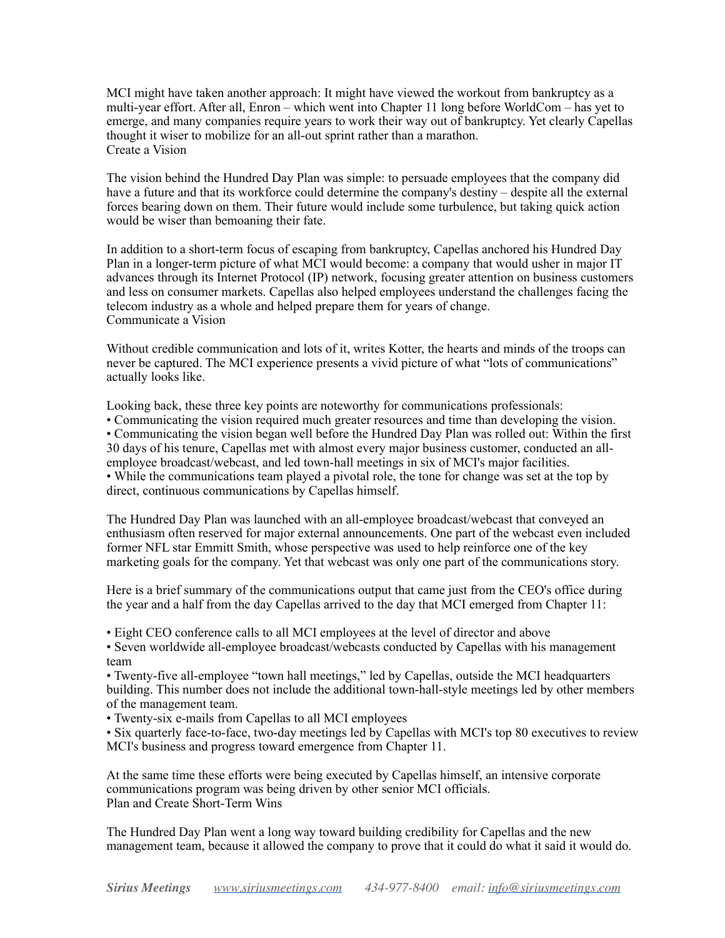MCI might have taken another approach: It might have viewed the workout from bankruptcy as a multi-year effort. After all, Enron – which went into Chapter 11 long before WorldCom – has yet to emerge, and many companies require years to work their way out of bankruptcy. Yet clearly Capellas thought it wiser to mobilize for an all-out sprint rather than a marathon. Create a Vision

The vision behind the Hundred Day Plan was simple: to persuade employees that the company did have a future and that its workforce could determine the company's destiny – despite all the external forces bearing down on them. Their future would include some turbulence, but taking quick action would be wiser than bemoaning their fate.

In addition to a short-term focus of escaping from bankruptcy, Capellas anchored his Hundred Day Plan in a longer-term picture of what MCI would become: a company that would usher in major IT advances through its Internet Protocol (IP) network, focusing greater attention on business customers and less on consumer markets. Capellas also helped employees understand the challenges facing the telecom industry as a whole and helped prepare them for years of change. Communicate a Vision

Without credible communication and lots of it, writes Kotter, the hearts and minds of the troops can never be captured. The MCI experience presents a vivid picture of what "lots of communications" actually looks like.

Looking back, these three key points are noteworthy for communications professionals:

• Communicating the vision required much greater resources and time than developing the vision. • Communicating the vision began well before the Hundred Day Plan was rolled out: Within the first 30 days of his tenure, Capellas met with almost every major business customer, conducted an allemployee broadcast/webcast, and led town-hall meetings in six of MCI's major facilities. • While the communications team played a pivotal role, the tone for change was set at the top by direct, continuous communications by Capellas himself.

The Hundred Day Plan was launched with an all-employee broadcast/webcast that conveyed an enthusiasm often reserved for major external announcements. One part of the webcast even included former NFL star Emmitt Smith, whose perspective was used to help reinforce one of the key marketing goals for the company. Yet that webcast was only one part of the communications story.

Here is a brief summary of the communications output that came just from the CEO's office during the year and a half from the day Capellas arrived to the day that MCI emerged from Chapter 11:

• Eight CEO conference calls to all MCI employees at the level of director and above

• Seven worldwide all-employee broadcast/webcasts conducted by Capellas with his management team

• Twenty-five all-employee "town hall meetings," led by Capellas, outside the MCI headquarters building. This number does not include the additional town-hall-style meetings led by other members of the management team.

• Twenty-six e-mails from Capellas to all MCI employees

• Six quarterly face-to-face, two-day meetings led by Capellas with MCI's top 80 executives to review MCI's business and progress toward emergence from Chapter 11.

At the same time these efforts were being executed by Capellas himself, an intensive corporate communications program was being driven by other senior MCI officials. Plan and Create Short-Term Wins

The Hundred Day Plan went a long way toward building credibility for Capellas and the new management team, because it allowed the company to prove that it could do what it said it would do.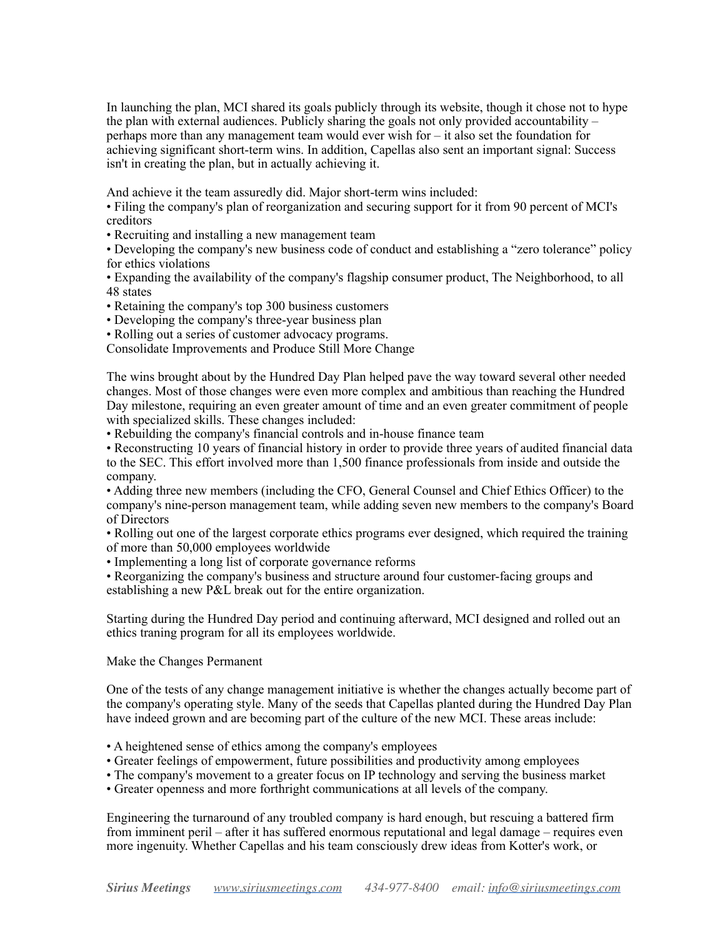In launching the plan, MCI shared its goals publicly through its website, though it chose not to hype the plan with external audiences. Publicly sharing the goals not only provided accountability  $$ perhaps more than any management team would ever wish for – it also set the foundation for achieving significant short-term wins. In addition, Capellas also sent an important signal: Success isn't in creating the plan, but in actually achieving it.

And achieve it the team assuredly did. Major short-term wins included:

• Filing the company's plan of reorganization and securing support for it from 90 percent of MCI's creditors

• Recruiting and installing a new management team

• Developing the company's new business code of conduct and establishing a "zero tolerance" policy for ethics violations

• Expanding the availability of the company's flagship consumer product, The Neighborhood, to all 48 states

• Retaining the company's top 300 business customers

• Developing the company's three-year business plan

• Rolling out a series of customer advocacy programs.

Consolidate Improvements and Produce Still More Change

The wins brought about by the Hundred Day Plan helped pave the way toward several other needed changes. Most of those changes were even more complex and ambitious than reaching the Hundred Day milestone, requiring an even greater amount of time and an even greater commitment of people with specialized skills. These changes included:

• Rebuilding the company's financial controls and in-house finance team

• Reconstructing 10 years of financial history in order to provide three years of audited financial data to the SEC. This effort involved more than 1,500 finance professionals from inside and outside the company.

• Adding three new members (including the CFO, General Counsel and Chief Ethics Officer) to the company's nine-person management team, while adding seven new members to the company's Board of Directors

• Rolling out one of the largest corporate ethics programs ever designed, which required the training of more than 50,000 employees worldwide

• Implementing a long list of corporate governance reforms

• Reorganizing the company's business and structure around four customer-facing groups and establishing a new P&L break out for the entire organization.

Starting during the Hundred Day period and continuing afterward, MCI designed and rolled out an ethics traning program for all its employees worldwide.

Make the Changes Permanent

One of the tests of any change management initiative is whether the changes actually become part of the company's operating style. Many of the seeds that Capellas planted during the Hundred Day Plan have indeed grown and are becoming part of the culture of the new MCI. These areas include:

• A heightened sense of ethics among the company's employees

• Greater feelings of empowerment, future possibilities and productivity among employees

• The company's movement to a greater focus on IP technology and serving the business market

• Greater openness and more forthright communications at all levels of the company.

Engineering the turnaround of any troubled company is hard enough, but rescuing a battered firm from imminent peril – after it has suffered enormous reputational and legal damage – requires even more ingenuity. Whether Capellas and his team consciously drew ideas from Kotter's work, or